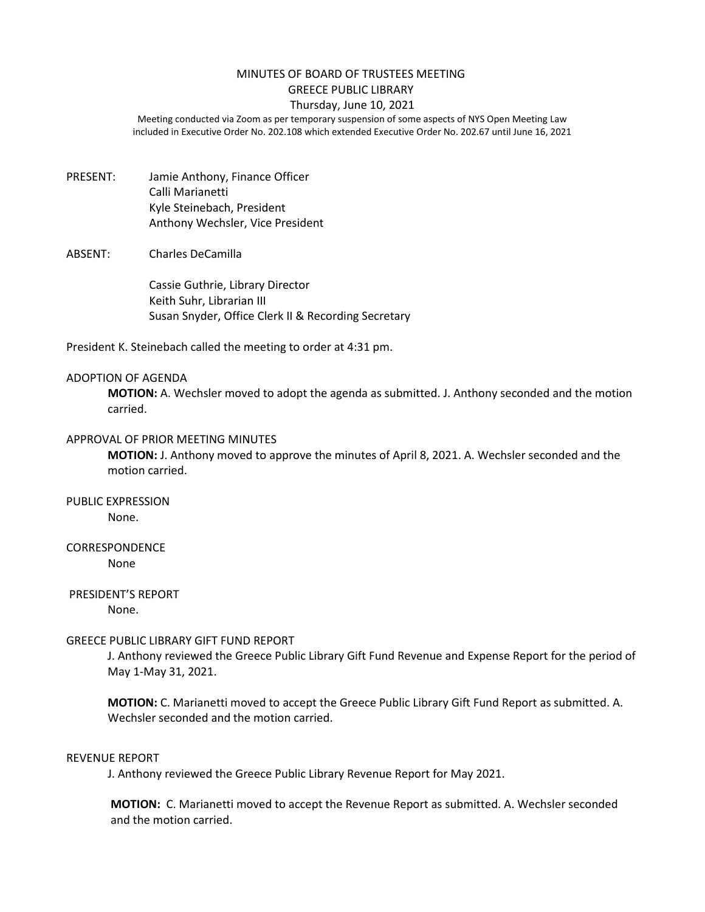#### MINUTES OF BOARD OF TRUSTEES MEETING GREECE PUBLIC LIBRARY

## Thursday, June 10, 2021

Meeting conducted via Zoom as per temporary suspension of some aspects of NYS Open Meeting Law included in Executive Order No. 202.108 which extended Executive Order No. 202.67 until June 16, 2021

PRESENT: Jamie Anthony, Finance Officer Calli Marianetti Kyle Steinebach, President Anthony Wechsler, Vice President

### ABSENT: Charles DeCamilla

Cassie Guthrie, Library Director Keith Suhr, Librarian III Susan Snyder, Office Clerk II & Recording Secretary

President K. Steinebach called the meeting to order at 4:31 pm.

#### ADOPTION OF AGENDA

**MOTION:** A. Wechsler moved to adopt the agenda as submitted. J. Anthony seconded and the motion carried.

#### APPROVAL OF PRIOR MEETING MINUTES

**MOTION:** J. Anthony moved to approve the minutes of April 8, 2021. A. Wechsler seconded and the motion carried.

# PUBLIC EXPRESSION

None.

## **CORRESPONDENCE**

None

### PRESIDENT'S REPORT

None.

#### GREECE PUBLIC LIBRARY GIFT FUND REPORT

J. Anthony reviewed the Greece Public Library Gift Fund Revenue and Expense Report for the period of May 1-May 31, 2021.

**MOTION:** C. Marianetti moved to accept the Greece Public Library Gift Fund Report as submitted. A. Wechsler seconded and the motion carried.

#### REVENUE REPORT

J. Anthony reviewed the Greece Public Library Revenue Report for May 2021.

**MOTION:** C. Marianetti moved to accept the Revenue Report as submitted. A. Wechsler seconded and the motion carried.